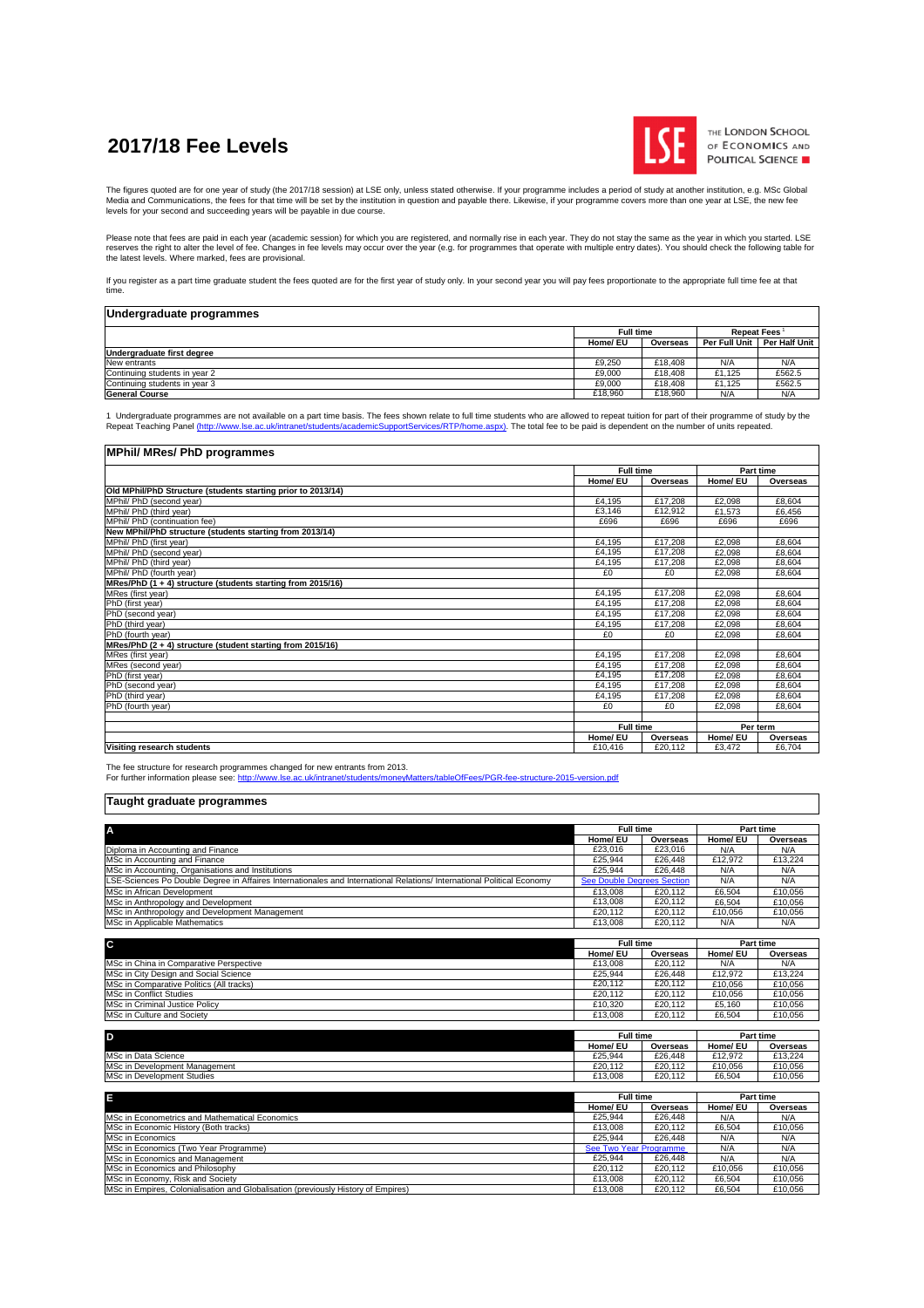# **2017/18 Fee Levels**



THE LONDON SCHOOL OF ECONOMICS AND POLITICAL SCIENCE

The figures quoted are for one year of study (the 2017/18 session) at LSE only, unless stated otherwise. If your programme includes a period of study at another institution, e.g. MSc Global<br>Media and Communications, the fe levels for your second and succeeding years will be payable in due course.

Please note that fees are paid in each year (academic session) for which you are registered, and normally rise in each year. They do not stay the same as the year in which you started. LSE<br>reserves the right to alter the l

If you register as a part time graduate student the fees quoted are for the first year of study only. In your second year you will pay fees proportionate to the appropriate full time fee at that time.

| Undergraduate programmes      |                  |          |               |               |  |
|-------------------------------|------------------|----------|---------------|---------------|--|
|                               | <b>Full time</b> |          | Repeat Fees   |               |  |
|                               | Home/ EU         | Overseas | Per Full Unit | Per Half Unit |  |
| Undergraduate first degree    |                  |          |               |               |  |
| New entrants                  | £9.250           | £18,408  | N/A           | N/A           |  |
| Continuing students in year 2 | £9,000           | £18,408  | £1.125        | £562.5        |  |
| Continuing students in year 3 | £9.000           | £18,408  | £1.125        | £562.5        |  |
| <b>General Course</b>         | £18,960          | £18,960  | N/A           | N/A           |  |

1 Undergraduate programmes are not available on a part time basis. The fees shown relate to full time students who are allowed to repeat tuition for part of their programme of study by the Repeat ed.<br>Repeat Teaching Panel **Repeat Teaching Panel (http://www.lse.acc.uk/intranet/students/academic Panel (http://www.lse.uk/intranet/students/academic SupportServices/RTP/home.aspx).** The total fee to be paid is dependent on the number of units rep

| <b>MPhil/ MRes/ PhD programmes</b>                           |                  |                  |          |                  |  |
|--------------------------------------------------------------|------------------|------------------|----------|------------------|--|
|                                                              |                  | <b>Full time</b> |          | <b>Part time</b> |  |
|                                                              | Home/ EU         | Overseas         | Home/ EU | Overseas         |  |
| Old MPhil/PhD Structure (students starting prior to 2013/14) |                  |                  |          |                  |  |
| MPhil/ PhD (second year)                                     | £4.195           | £17.208          | £2.098   | £8.604           |  |
| MPhil/ PhD (third year)                                      | £3.146           | £12,912          | £1.573   | £6.456           |  |
| MPhil/ PhD (continuation fee)                                | £696             | £696             | £696     | £696             |  |
| New MPhil/PhD structure (students starting from 2013/14)     |                  |                  |          |                  |  |
| MPhil/ PhD (first year)                                      | £4,195           | £17,208          | £2,098   | £8.604           |  |
| MPhil/ PhD (second year)                                     | £4.195           | £17.208          | £2.098   | £8.604           |  |
| MPhil/ PhD (third year)                                      | £4.195           | £17,208          | £2.098   | £8.604           |  |
| MPhil/ PhD (fourth year)                                     | £0               | £0               | £2,098   | £8.604           |  |
| MRes/PhD (1 + 4) structure (students starting from 2015/16)  |                  |                  |          |                  |  |
| MRes (first year)                                            | £4.195           | £17.208          | £2.098   | £8.604           |  |
| PhD (first year)                                             | £4.195           | £17,208          | £2,098   | £8.604           |  |
| PhD (second year)                                            | £4.195           | £17.208          | £2.098   | £8.604           |  |
| PhD (third year)                                             | £4.195           | £17.208          | £2.098   | £8.604           |  |
| PhD (fourth year)                                            | £0               | £0               | £2.098   | £8.604           |  |
| MRes/PhD $(2 + 4)$ structure (student starting from 2015/16) |                  |                  |          |                  |  |
| MRes (first year)                                            | £4.195           | £17.208          | £2.098   | £8.604           |  |
| MRes (second year)                                           | £4.195           | £17,208          | £2.098   | £8.604           |  |
| PhD (first year)                                             | £4.195           | £17.208          | £2.098   | £8.604           |  |
| PhD (second year)                                            | £4.195           | £17,208          | £2.098   | £8.604           |  |
| PhD (third year)                                             | £4,195           | £17,208          | £2.098   | £8.604           |  |
| PhD (fourth year)                                            | f(0)             | £0               | £2.098   | £8.604           |  |
|                                                              |                  |                  |          |                  |  |
|                                                              | <b>Full time</b> |                  | Per term |                  |  |
|                                                              | Home/ EU         | Overseas         | Home/ EU | Overseas         |  |
| Visiting research students                                   | £10,416          | £20.112          | £3,472   | £6.704           |  |

The fee structure for research programmes changed for new entrants from 2013.<br>For further information please see: <u>http://www.lse.ac.uk/intranet/students/moneyMatters/tableOfFees/PGR-fee-structure-2015-version.pdf</u>

### **Taught graduate programmes**

| Α                                                                                                                      | <b>Full time</b>                  |          | Part time |                  |  |
|------------------------------------------------------------------------------------------------------------------------|-----------------------------------|----------|-----------|------------------|--|
|                                                                                                                        | Home/ EU                          | Overseas | Home/ EU  | Overseas         |  |
| Diploma in Accounting and Finance                                                                                      | £23,016                           | £23,016  | N/A       | N/A              |  |
| MSc in Accounting and Finance                                                                                          | £25.944                           | £26.448  | £12,972   | £13,224          |  |
| MSc in Accounting, Organisations and Institutions                                                                      | £25.944                           | £26,448  | N/A       | N/A              |  |
| LSE-Sciences Po Double Degree in Affaires Internationales and International Relations/ International Political Economy | <b>See Double Degrees Section</b> |          | N/A       | N/A              |  |
| MSc in African Development                                                                                             | £13,008                           | £20.112  | £6.504    | £10.056          |  |
| MSc in Anthropology and Development                                                                                    | £13,008                           | £20.112  | £6.504    | £10.056          |  |
| MSc in Anthropology and Development Management                                                                         | £20.112                           | £20,112  | £10,056   | £10,056          |  |
| MSc in Applicable Mathematics                                                                                          | £13,008                           | £20,112  | N/A       | N/A              |  |
|                                                                                                                        |                                   |          |           |                  |  |
| C                                                                                                                      | Full time                         |          |           | <b>Part time</b> |  |
|                                                                                                                        | Home/ EU                          | Overseas | Home/ EU  | Overseas         |  |
| MSc in China in Comparative Perspective                                                                                | £13.008                           | £20.112  | N/A       | N/A              |  |
| MSc in City Design and Social Science                                                                                  | £25,944                           | £26,448  | £12,972   | £13.224          |  |
| MSc in Comparative Politics (All tracks)                                                                               | E20, 112                          | £20.112  | £10,056   | £10,056          |  |
| MSc in Conflict Studies                                                                                                | £20.112                           | £20.112  | £10,056   | £10.056          |  |
| MSc in Criminal Justice Policy                                                                                         | £10,320                           | £20.112  | £5,160    | £10.056          |  |
| MSc in Culture and Society                                                                                             | £13,008                           | £20,112  | £6,504    | £10,056          |  |
|                                                                                                                        |                                   |          |           |                  |  |
| D                                                                                                                      | <b>Full time</b>                  |          |           | Part time        |  |
|                                                                                                                        | Home/ EU                          | Overseas | Home/ EU  | Overseas         |  |
| MSc in Data Science                                                                                                    | £25.944                           | £26,448  | £12.972   | £13,224          |  |
| MSc in Development Management                                                                                          | £20.112                           | £20,112  | £10,056   | £10,056          |  |
| MSc in Development Studies                                                                                             | £13,008                           | £20,112  | £6.504    | £10,056          |  |
|                                                                                                                        |                                   |          |           |                  |  |
| Ε                                                                                                                      | <b>Full time</b>                  |          |           | Part time        |  |
|                                                                                                                        | Home/ EU                          | Overseas | Home/EU   | Overseas         |  |
| MSc in Econometrics and Mathematical Economics                                                                         | £25.944                           | £26,448  | N/A       | N/A              |  |
| MSc in Economic History (Both tracks)                                                                                  | £13,008                           | £20,112  | £6.504    | £10.056          |  |
| <b>MSc in Economics</b>                                                                                                | £25.944                           | £26,448  | N/A       | N/A              |  |
| MSc in Economics (Two Year Programme)                                                                                  | See Two Year Programme            |          | N/A       | N/A              |  |
| MSc in Economics and Management                                                                                        | £25.944                           | £26,448  | N/A       | N/A              |  |
| MSc in Economics and Philosophy                                                                                        | £20.112                           | £20,112  | £10,056   | £10,056          |  |
| MSc in Economy, Risk and Society                                                                                       | £13,008                           | £20,112  | £6,504    | £10,056          |  |
| MSc in Empires, Colonialisation and Globalisation (previously History of Empires)                                      | £13,008                           | £20.112  | £6.504    | £10.056          |  |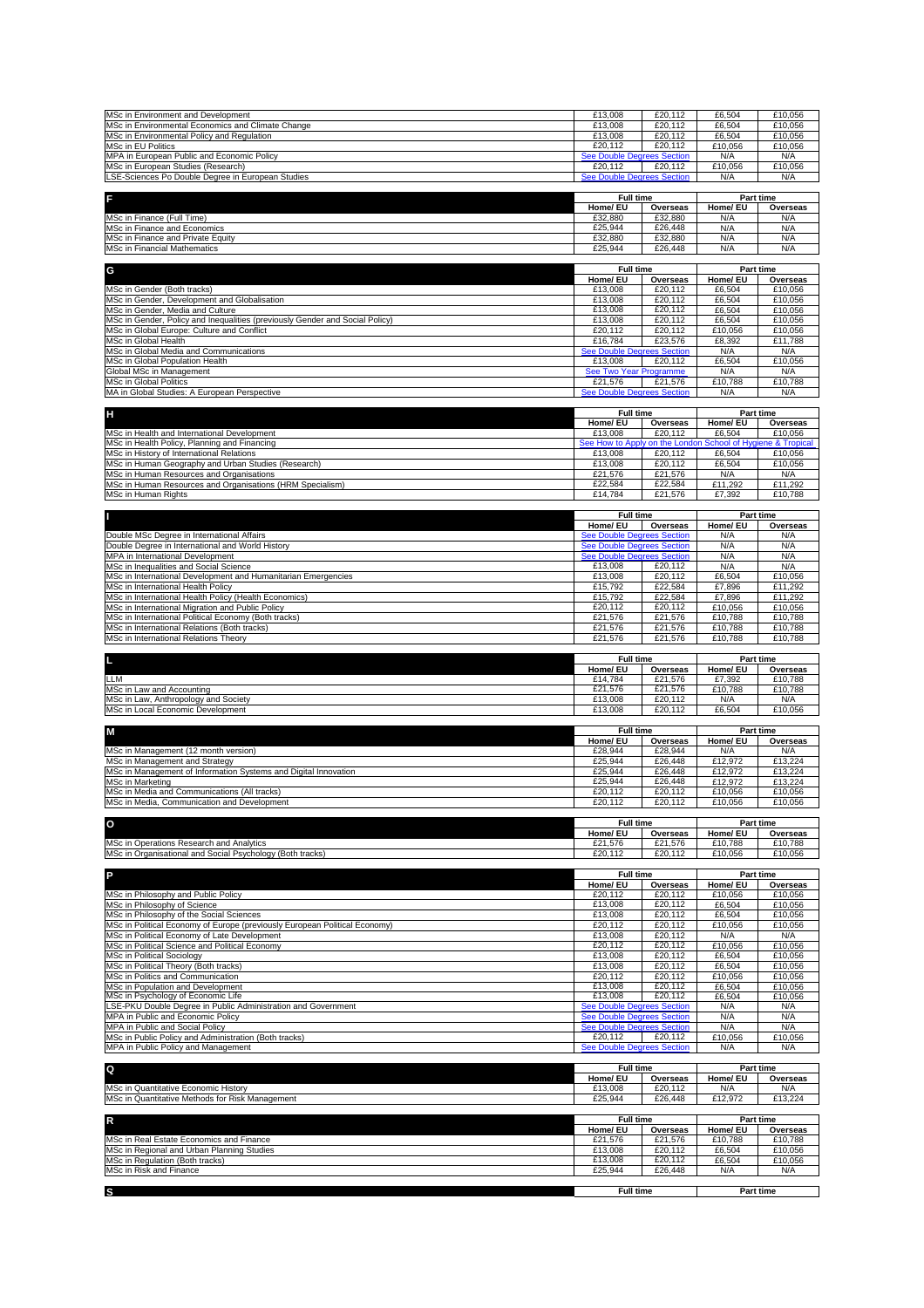|                                                                                                         | £13,008                                                     | £20,112             | £6,504              | £10,056                      |
|---------------------------------------------------------------------------------------------------------|-------------------------------------------------------------|---------------------|---------------------|------------------------------|
| MSc in Environment and Development<br>MSc in Environmental Economics and Climate Change                 | £13,008                                                     | £20.112             | £6,504              | £10.056                      |
| MSc in Environmental Policy and Regulation                                                              | £13,008                                                     | £20,112             | £6,504              | £10,056                      |
| MSc in EU Politics                                                                                      | £20.112                                                     | £20,112             | £10,056             | £10,056                      |
| MPA in European Public and Economic Policy                                                              | <b>See Double Degrees Section</b>                           |                     | N/A                 | N/A                          |
| MSc in European Studies (Research)                                                                      | £20,112                                                     | £20,112             | £10,056             | £10,056                      |
| LSE-Sciences Po Double Degree in European Studies                                                       | <b>See Double Degrees Section</b>                           |                     | N/A                 | N/A                          |
|                                                                                                         |                                                             |                     |                     |                              |
| F                                                                                                       | <b>Full time</b><br>Home/ EU                                |                     |                     | <b>Part time</b><br>Overseas |
| MSc in Finance (Full Time)                                                                              | £32,880                                                     | Overseas<br>£32,880 | Home/ EU<br>N/A     | N/A                          |
| MSc in Finance and Economics                                                                            | £25,944                                                     | £26,448             | N/A                 | N/A                          |
| MSc in Finance and Private Equity                                                                       | £32,880                                                     | £32,880             | N/A                 | N/A                          |
| MSc in Financial Mathematics                                                                            | £25,944                                                     | £26,448             | N/A                 | N/A                          |
|                                                                                                         |                                                             |                     |                     |                              |
| G                                                                                                       | <b>Full time</b>                                            |                     |                     | Part time                    |
|                                                                                                         | Home/ EU                                                    | Overseas            | Home/ EU            | Overseas                     |
| MSc in Gender (Both tracks)<br>MSc in Gender, Development and Globalisation                             | £13,008                                                     | £20,112             | £6,504              | £10,056                      |
| MSc in Gender, Media and Culture                                                                        | £13,008<br>£13,008                                          | £20,112<br>£20,112  | £6,504<br>£6,504    | £10,056<br>£10,056           |
| MSc in Gender, Policy and Inequalities (previously Gender and Social Policy)                            | £13,008                                                     | £20,112             | £6,504              | £10,056                      |
| MSc in Global Europe: Culture and Conflict                                                              | £20,112                                                     | £20,112             | £10,056             | £10,056                      |
| MSc in Global Health                                                                                    | £16,784                                                     | £23,576             | £8,392              | £11,788                      |
| MSc in Global Media and Communications                                                                  | <b>See Double Degrees Section</b>                           |                     | N/A                 | N/A                          |
| MSc in Global Population Health                                                                         | £13,008                                                     | £20,112             | £6,504              | £10,056                      |
| Global MSc in Management                                                                                | See Two Year Programme                                      |                     | N/A                 | N/A                          |
| <b>MSc in Global Politics</b>                                                                           | £21,576                                                     | £21,576             | £10,788<br>N/A      | £10,788<br>N/A               |
| MA in Global Studies: A European Perspective                                                            | <b>See Double Degrees Section</b>                           |                     |                     |                              |
| н                                                                                                       | <b>Full time</b>                                            |                     |                     | Part time                    |
|                                                                                                         | Home/ EU                                                    | Overseas            | Home/ EU            | Overseas                     |
| MSc in Health and International Development                                                             | £13,008                                                     | £20,112             | £6,504              | £10.056                      |
| MSc in Health Policy, Planning and Financing                                                            | See How to Apply on the London School of Hygiene & Tropical |                     |                     |                              |
| MSc in History of International Relations                                                               | £13,008                                                     | £20,112             | £6,504              | £10,056                      |
| MSc in Human Geography and Urban Studies (Research)                                                     | £13,008                                                     | £20,112             | £6,504              | £10,056<br>N/A               |
| MSc in Human Resources and Organisations<br>MSc in Human Resources and Organisations (HRM Specialism)   | £21,576<br>£22.584                                          | £21,576<br>£22,584  | N/A<br>£11.292      | £11,292                      |
| MSc in Human Rights                                                                                     | £14,784                                                     | £21,576             | £7,392              | £10,788                      |
|                                                                                                         |                                                             |                     |                     |                              |
| п                                                                                                       | <b>Full time</b>                                            |                     |                     | Part time                    |
|                                                                                                         | Home/EU Overseas                                            |                     | Home/ EU            | Overseas                     |
| Double MSc Degree in International Affairs                                                              | <b>See Double Degrees Section</b>                           |                     | N/A                 | N/A                          |
| Double Degree in International and World History                                                        | <b>See Double Degrees Section</b>                           |                     | N/A                 | N/A                          |
| MPA in International Development                                                                        | <b>See Double Degrees Section</b>                           | £20,112             | N/A<br>N/A          | N/A<br>N/A                   |
| MSc in Inequalities and Social Science<br>MSc in International Development and Humanitarian Emergencies | £13,008<br>£13,008                                          | £20,112             | £6,504              | £10,056                      |
| MSc in International Health Policy                                                                      | £15,792                                                     | £22,584             | £7,896              | £11,292                      |
| MSc in International Health Policy (Health Economics)                                                   | £15,792                                                     | £22,584             | £7,896              | £11,292                      |
| MSc in International Migration and Public Policy                                                        | £20,112                                                     | £20,112             | £10,056             | £10,056                      |
| MSc in International Political Economy (Both tracks)                                                    | £21,576                                                     | £21,576             | £10,788             | £10,788                      |
| MSc in International Relations (Both tracks)                                                            | £21,576                                                     | £21,576             | £10,788             | £10,788                      |
| MSc in International Relations Theory                                                                   | £21,576                                                     | £21,576             | £10,788             | £10,788                      |
|                                                                                                         |                                                             |                     |                     |                              |
|                                                                                                         |                                                             |                     |                     |                              |
| Щ                                                                                                       | <b>Full time</b>                                            |                     |                     | Part time                    |
|                                                                                                         | Home/ EU                                                    | Overseas            | Home/ EU            | Overseas                     |
| LLM<br>MSc in Law and Accounting                                                                        | £14,784<br>£21,576                                          | £21,576<br>£21,576  | £7,392<br>£10,788   | £10,788<br>£10,788           |
| MSc in Law, Anthropology and Society                                                                    | £13,008                                                     | £20,112             | N/A                 | N/A                          |
| MSc in Local Economic Development                                                                       | £13,008                                                     | £20,112             | £6,504              | £10,056                      |
|                                                                                                         |                                                             |                     |                     |                              |
| M                                                                                                       | <b>Full time</b>                                            |                     |                     | Part time                    |
|                                                                                                         | Home/ EU                                                    | Overseas            | Home/ EU            | Overseas                     |
| MSc in Management (12 month version)                                                                    | £28,944                                                     | £28,944             | N/A                 | N/A                          |
| MSc in Management and Strategy<br>MSc in Management of Information Systems and Digital Innovation       | £25,944<br>£25,944                                          | £26,448<br>£26,448  | £12,972<br>£12,972  | £13,224<br>£13,224           |
| MSc in Marketing                                                                                        | £25,944                                                     | £26,448             | £12,972             | £13,224                      |
| MSc in Media and Communications (All tracks)                                                            | £20.112                                                     | £20,112             | £10,056             | £10,056                      |
| MSc in Media, Communication and Development                                                             | £20,112                                                     | £20,112             | £10,056             | £10.056                      |
|                                                                                                         |                                                             |                     |                     |                              |
| $\circ$                                                                                                 | <b>Full time</b>                                            |                     |                     | Part time                    |
| MSc in Operations Research and Analytics                                                                | Home/ EU<br>£21,576                                         | Overseas            | Home/ EU<br>£10,788 | Overseas<br>£10.788          |
| MSc in Organisational and Social Psychology (Both tracks)                                               | £20,112                                                     | £21,576<br>£20,112  | £10,056             | £10,056                      |
|                                                                                                         |                                                             |                     |                     |                              |
| P                                                                                                       | <b>Full time</b>                                            |                     |                     | Part time                    |
|                                                                                                         | Home/ EU                                                    | Overseas            | Home/ EU            | Overseas                     |
| MSc in Philosophy and Public Policy                                                                     | £20.112                                                     | £20,112             | £10,056             | £10.056                      |
| MSc in Philosophy of Science<br>MSc in Philosophy of the Social Sciences                                | £13,008                                                     | £20,112             | £6,504              | £10,056                      |
| MSc in Political Economy of Europe (previously European Political Economy)                              | £13,008<br>£20,112                                          | £20,112<br>£20,112  | £6,504<br>£10,056   | £10,056<br>£10,056           |
| MSc in Political Economy of Late Development                                                            | £13,008                                                     | £20,112             | N/A                 | N/A                          |
| MSc in Political Science and Political Economy                                                          | £20,112                                                     | £20,112             | £10,056             | £10.056                      |
| MSc in Political Sociology                                                                              | £13,008                                                     | £20,112             | £6,504              | £10,056                      |
| MSc in Political Theory (Both tracks)                                                                   | £13,008                                                     | £20,112             | £6,504              | £10,056                      |
| MSc in Politics and Communication                                                                       | £20,112                                                     | £20,112             | £10,056             | £10,056                      |
| MSc in Population and Development<br>MSc in Psychology of Economic Life                                 | £13,008<br>£13,008                                          | £20,112<br>£20,112  | £6,504              | £10,056<br>£10,056           |
| LSE-PKU Double Degree in Public Administration and Government                                           | <b>See Double Degrees Section</b>                           |                     | £6,504<br>N/A       | N/A                          |
| MPA in Public and Economic Policy                                                                       | See Double Degrees Section                                  |                     | N/A                 | N/A                          |
| MPA in Public and Social Policy                                                                         | <b>See Double Degrees Section</b>                           |                     | N/A                 | N/A                          |
| MSc in Public Policy and Administration (Both tracks)                                                   | £20,112                                                     | £20,112             | £10,056             | £10,056                      |
| MPA in Public Policy and Management                                                                     | <b>See Double Degrees Section</b>                           |                     | N/A                 | N/A                          |
|                                                                                                         |                                                             |                     |                     |                              |
| Q                                                                                                       | <b>Full time</b><br>Home/ EU                                | Overseas            | Home/ EU            | Part time<br>Overseas        |
| MSc in Quantitative Economic History                                                                    | £13,008                                                     | £20,112             | N/A                 | N/A                          |
| MSc in Quantitative Methods for Risk Management                                                         | £25,944                                                     | £26,448             | £12,972             | £13,224                      |
|                                                                                                         |                                                             |                     |                     |                              |
| R                                                                                                       | <b>Full time</b>                                            |                     |                     | Part time                    |
|                                                                                                         | Home/ EU                                                    | Overseas            | Home/ EU            | Overseas                     |
| MSc in Real Estate Economics and Finance                                                                | £21,576                                                     | £21,576             | £10,788             | £10,788                      |
| MSc in Regional and Urban Planning Studies                                                              | £13,008<br>£13,008                                          | £20,112<br>£20,112  | £6,504              | £10,056                      |
| MSc in Regulation (Both tracks)<br>MSc in Risk and Finance                                              | £25,944                                                     | £26,448             | £6,504<br>N/A       | £10,056<br>N/A               |
|                                                                                                         | <b>Full time</b>                                            |                     |                     | Part time                    |